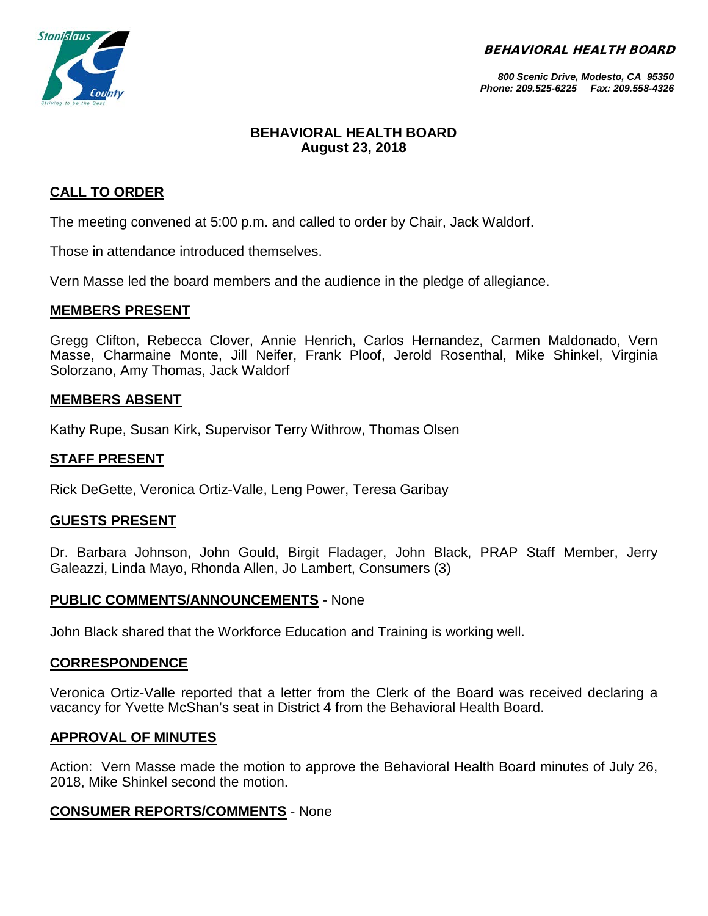BEHAVIORAL HEALTH BOARD



*800 Scenic Drive, Modesto, CA 95350 Phone: 209.525-6225 Fax: 209.558-4326*

## **BEHAVIORAL HEALTH BOARD August 23, 2018**

## **CALL TO ORDER**

The meeting convened at 5:00 p.m. and called to order by Chair, Jack Waldorf.

Those in attendance introduced themselves.

Vern Masse led the board members and the audience in the pledge of allegiance.

#### **MEMBERS PRESENT**

Gregg Clifton, Rebecca Clover, Annie Henrich, Carlos Hernandez, Carmen Maldonado, Vern Masse, Charmaine Monte, Jill Neifer, Frank Ploof, Jerold Rosenthal, Mike Shinkel, Virginia Solorzano, Amy Thomas, Jack Waldorf

### **MEMBERS ABSENT**

Kathy Rupe, Susan Kirk, Supervisor Terry Withrow, Thomas Olsen

### **STAFF PRESENT**

Rick DeGette, Veronica Ortiz-Valle, Leng Power, Teresa Garibay

### **GUESTS PRESENT**

Dr. Barbara Johnson, John Gould, Birgit Fladager, John Black, PRAP Staff Member, Jerry Galeazzi, Linda Mayo, Rhonda Allen, Jo Lambert, Consumers (3)

### **PUBLIC COMMENTS/ANNOUNCEMENTS** - None

John Black shared that the Workforce Education and Training is working well.

#### **CORRESPONDENCE**

Veronica Ortiz-Valle reported that a letter from the Clerk of the Board was received declaring a vacancy for Yvette McShan's seat in District 4 from the Behavioral Health Board.

#### **APPROVAL OF MINUTES**

Action: Vern Masse made the motion to approve the Behavioral Health Board minutes of July 26, 2018, Mike Shinkel second the motion.

### **CONSUMER REPORTS/COMMENTS** - None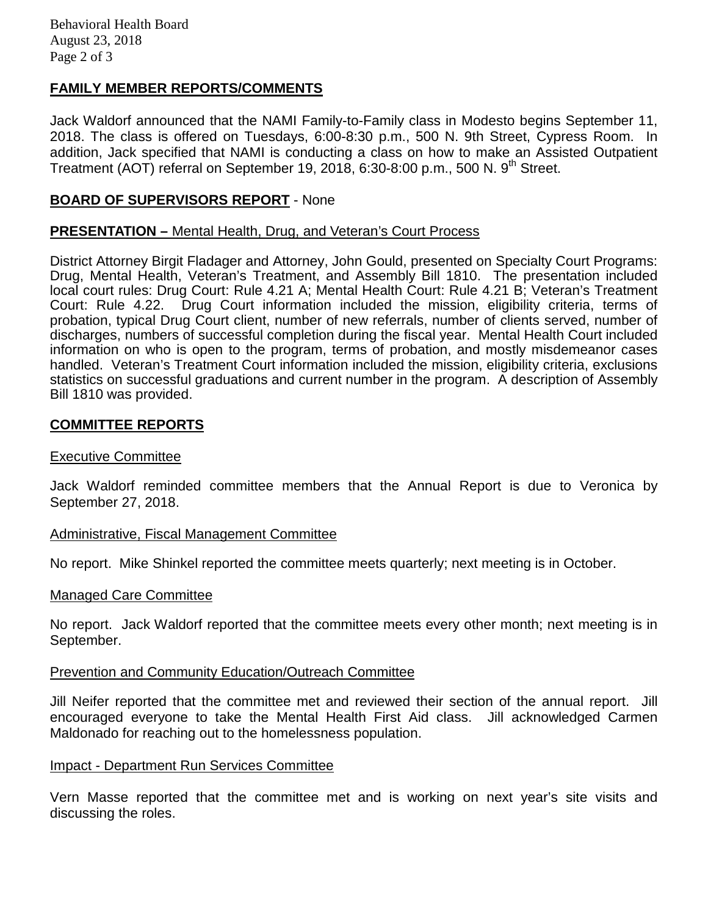## **FAMILY MEMBER REPORTS/COMMENTS**

Jack Waldorf announced that the NAMI Family-to-Family class in Modesto begins September 11, 2018. The class is offered on Tuesdays, 6:00-8:30 p.m., 500 N. 9th Street, Cypress Room. In addition, Jack specified that NAMI is conducting a class on how to make an Assisted Outpatient Treatment (AOT) referral on September 19, 2018, 6:30-8:00 p.m., 500 N.  $9<sup>th</sup>$  Street.

## **BOARD OF SUPERVISORS REPORT** - None

### **PRESENTATION –** Mental Health, Drug, and Veteran's Court Process

District Attorney Birgit Fladager and Attorney, John Gould, presented on Specialty Court Programs: Drug, Mental Health, Veteran's Treatment, and Assembly Bill 1810. The presentation included local court rules: Drug Court: Rule 4.21 A; Mental Health Court: Rule 4.21 B; Veteran's Treatment Court: Rule 4.22. Drug Court information included the mission, eligibility criteria, terms of probation, typical Drug Court client, number of new referrals, number of clients served, number of discharges, numbers of successful completion during the fiscal year. Mental Health Court included information on who is open to the program, terms of probation, and mostly misdemeanor cases handled. Veteran's Treatment Court information included the mission, eligibility criteria, exclusions statistics on successful graduations and current number in the program. A description of Assembly Bill 1810 was provided.

### **COMMITTEE REPORTS**

#### Executive Committee

Jack Waldorf reminded committee members that the Annual Report is due to Veronica by September 27, 2018.

#### Administrative, Fiscal Management Committee

No report. Mike Shinkel reported the committee meets quarterly; next meeting is in October.

#### Managed Care Committee

No report. Jack Waldorf reported that the committee meets every other month; next meeting is in September.

#### Prevention and Community Education/Outreach Committee

Jill Neifer reported that the committee met and reviewed their section of the annual report. Jill encouraged everyone to take the Mental Health First Aid class. Jill acknowledged Carmen Maldonado for reaching out to the homelessness population.

#### Impact - Department Run Services Committee

Vern Masse reported that the committee met and is working on next year's site visits and discussing the roles.